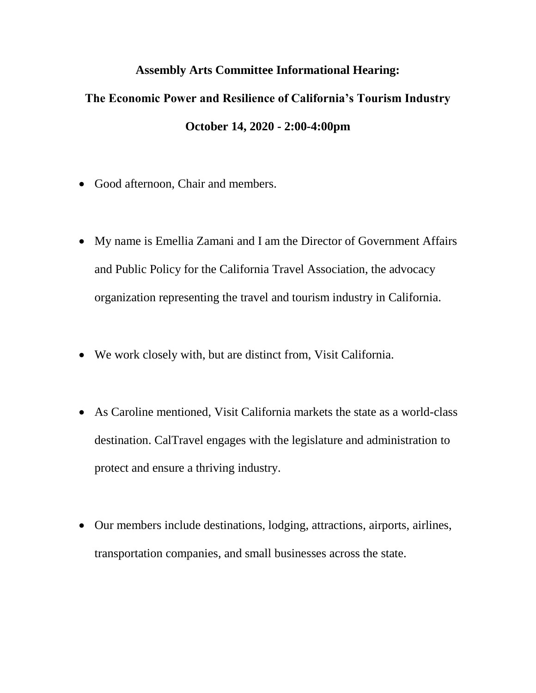## **Assembly Arts Committee Informational Hearing:**

## **The Economic Power and Resilience of California's Tourism Industry October 14, 2020 - 2:00-4:00pm**

- Good afternoon, Chair and members.
- My name is Emellia Zamani and I am the Director of Government Affairs and Public Policy for the California Travel Association, the advocacy organization representing the travel and tourism industry in California.
- We work closely with, but are distinct from, Visit California.
- As Caroline mentioned, Visit California markets the state as a world-class destination. CalTravel engages with the legislature and administration to protect and ensure a thriving industry.
- Our members include destinations, lodging, attractions, airports, airlines, transportation companies, and small businesses across the state.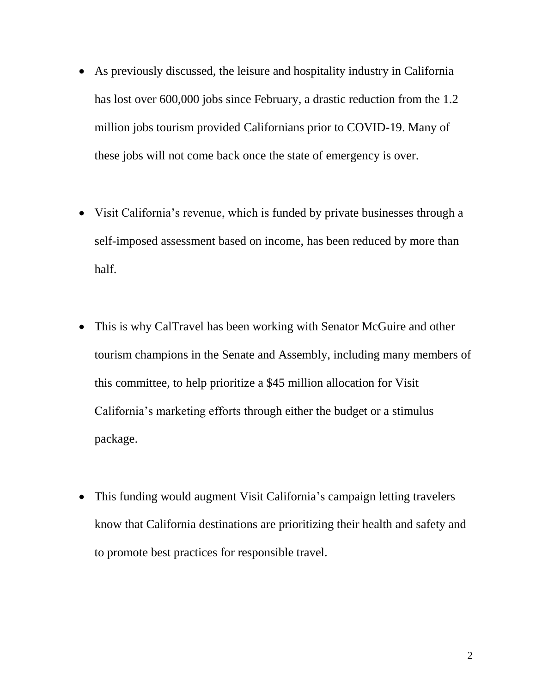- As previously discussed, the leisure and hospitality industry in California has lost over 600,000 jobs since February, a drastic reduction from the 1.2 million jobs tourism provided Californians prior to COVID-19. Many of these jobs will not come back once the state of emergency is over.
- Visit California's revenue, which is funded by private businesses through a self-imposed assessment based on income, has been reduced by more than half.
- This is why CalTravel has been working with Senator McGuire and other tourism champions in the Senate and Assembly, including many members of this committee, to help prioritize a \$45 million allocation for Visit California's marketing efforts through either the budget or a stimulus package.
- This funding would augment Visit California's campaign letting travelers know that California destinations are prioritizing their health and safety and to promote best practices for responsible travel.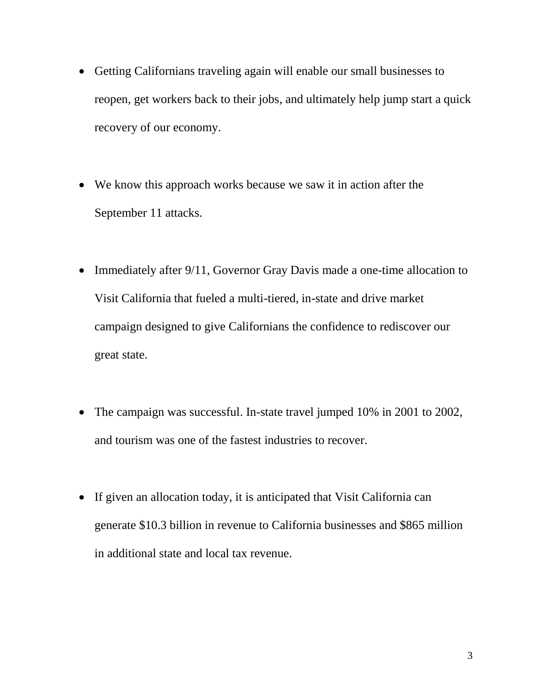- Getting Californians traveling again will enable our small businesses to reopen, get workers back to their jobs, and ultimately help jump start a quick recovery of our economy.
- We know this approach works because we saw it in action after the September 11 attacks.
- Immediately after 9/11, Governor Gray Davis made a one-time allocation to Visit California that fueled a multi-tiered, in-state and drive market campaign designed to give Californians the confidence to rediscover our great state.
- The campaign was successful. In-state travel jumped 10% in 2001 to 2002, and tourism was one of the fastest industries to recover.
- If given an allocation today, it is anticipated that Visit California can generate \$10.3 billion in revenue to California businesses and \$865 million in additional state and local tax revenue.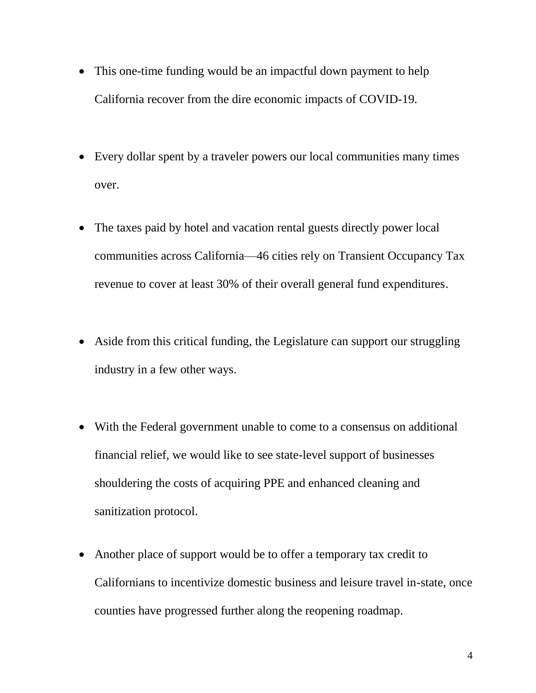- This one-time funding would be an impactful down payment to help California recover from the dire economic impacts of COVID-19.
- Every dollar spent by a traveler powers our local communities many times over.
- The taxes paid by hotel and vacation rental guests directly power local communities across California—46 cities rely on Transient Occupancy Tax revenue to cover at least 30% of their overall general fund expenditures.
- Aside from this critical funding, the Legislature can support our struggling industry in a few other ways.
- With the Federal government unable to come to a consensus on additional financial relief, we would like to see state-level support of businesses shouldering the costs of acquiring PPE and enhanced cleaning and sanitization protocol.
- Another place of support would be to offer a temporary tax credit to Californians to incentivize domestic business and leisure travel in-state, once counties have progressed further along the reopening roadmap.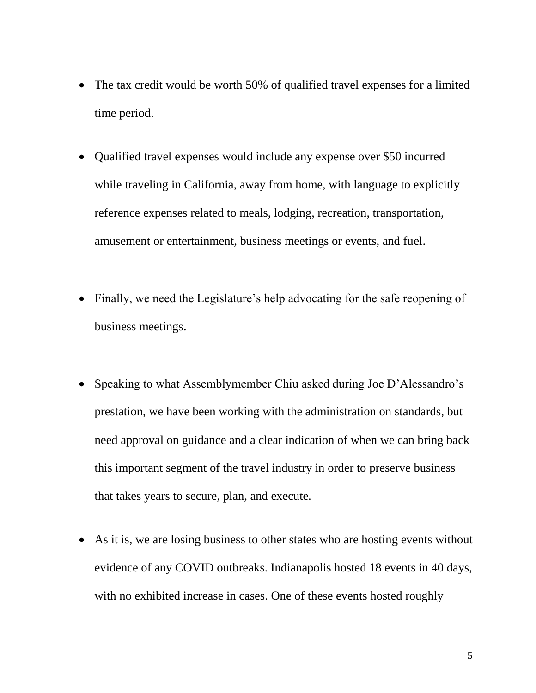- The tax credit would be worth 50% of qualified travel expenses for a limited time period.
- Qualified travel expenses would include any expense over \$50 incurred while traveling in California, away from home, with language to explicitly reference expenses related to meals, lodging, recreation, transportation, amusement or entertainment, business meetings or events, and fuel.
- Finally, we need the Legislature's help advocating for the safe reopening of business meetings.
- Speaking to what Assemblymember Chiu asked during Joe D'Alessandro's prestation, we have been working with the administration on standards, but need approval on guidance and a clear indication of when we can bring back this important segment of the travel industry in order to preserve business that takes years to secure, plan, and execute.
- As it is, we are losing business to other states who are hosting events without evidence of any COVID outbreaks. Indianapolis hosted 18 events in 40 days, with no exhibited increase in cases. One of these events hosted roughly